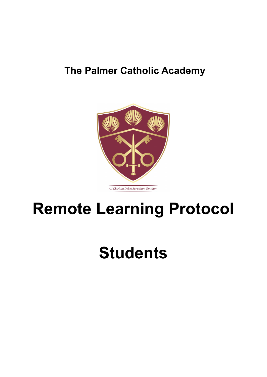## **The Palmer Catholic Academy**



# **Remote Learning Protocol**

# **Students**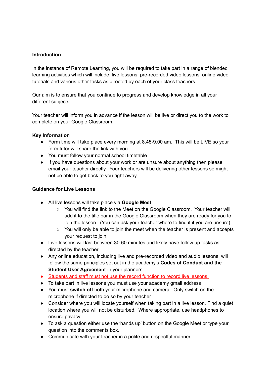### **Introduction**

In the instance of Remote Learning, you will be required to take part in a range of blended learning activities which will include: live lessons, pre-recorded video lessons, online video tutorials and various other tasks as directed by each of your class teachers.

Our aim is to ensure that you continue to progress and develop knowledge in all your different subjects.

Your teacher will inform you in advance if the lesson will be live or direct you to the work to complete on your Google Classroom.

#### **Key Information**

- Form time will take place every morning at 8.45-9.00 am. This will be LIVE so your form tutor will share the link with you
- You must follow your normal school timetable
- If you have questions about your work or are unsure about anything then please email your teacher directly. Your teachers will be delivering other lessons so might not be able to get back to you right away

### **Guidance for Live Lessons**

- All live lessons will take place via **Google Meet**
	- You will find the link to the Meet on the Google Classroom. Your teacher will add it to the title bar in the Google Classroom when they are ready for you to join the lesson. (You can ask your teacher where to find it if you are unsure)
	- You will only be able to join the meet when the teacher is present and accepts your request to join
- Live lessons will last between 30-60 minutes and likely have follow up tasks as directed by the teacher
- Any online education, including live and pre-recorded video and audio lessons, will follow the same principles set out in the academy's **Codes of Conduct and the Student User Agreement** in your planners
- Students and staff must not use the record function to record live lessons.
- To take part in live lessons you must use your academy gmail address
- You must **switch off** both your microphone and camera. Only switch on the microphone if directed to do so by your teacher
- Consider where you will locate yourself when taking part in a live lesson. Find a quiet location where you will not be disturbed. Where appropriate, use headphones to ensure privacy.
- To ask a question either use the 'hands up' button on the Google Meet or type your question into the comments box.
- Communicate with your teacher in a polite and respectful manner